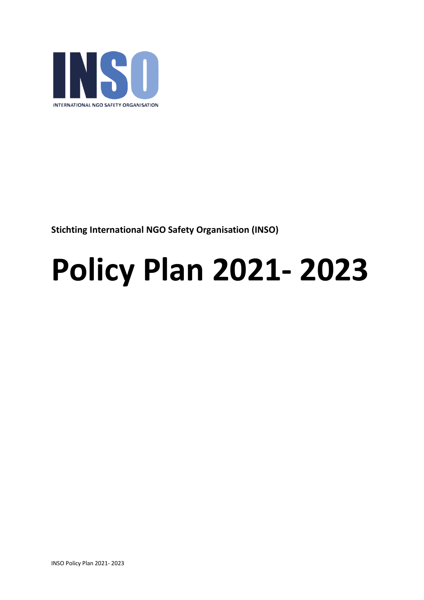

**Stichting International NGO Safety Organisation (INSO)**

# **Policy Plan 2021- 2023**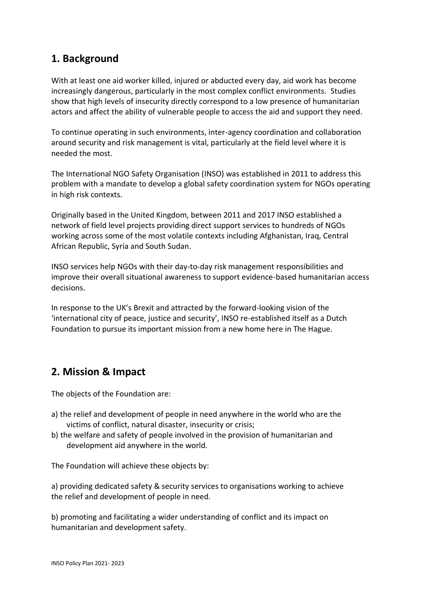### **1. Background**

With at least one aid worker killed, injured or abducted every day, aid work has become increasingly dangerous, particularly in the most complex conflict environments. Studies show that high levels of insecurity directly correspond to a low presence of humanitarian actors and affect the ability of vulnerable people to access the aid and support they need.

To continue operating in such environments, inter-agency coordination and collaboration around security and risk management is vital, particularly at the field level where it is needed the most.

The International NGO Safety Organisation (INSO) was established in 2011 to address this problem with a mandate to develop a global safety coordination system for NGOs operating in high risk contexts.

Originally based in the United Kingdom, between 2011 and 2017 INSO established a network of field level projects providing direct support services to hundreds of NGOs working across some of the most volatile contexts including Afghanistan, Iraq, Central African Republic, Syria and South Sudan.

INSO services help NGOs with their day-to-day risk management responsibilities and improve their overall situational awareness to support evidence-based humanitarian access decisions.

In response to the UK's Brexit and attracted by the forward-looking vision of the 'international city of peace, justice and security', INSO re-established itself as a Dutch Foundation to pursue its important mission from a new home here in The Hague.

# **2. Mission & Impact**

The objects of the Foundation are:

- a) the relief and development of people in need anywhere in the world who are the victims of conflict, natural disaster, insecurity or crisis;
- b) the welfare and safety of people involved in the provision of humanitarian and development aid anywhere in the world.

The Foundation will achieve these objects by:

a) providing dedicated safety & security services to organisations working to achieve the relief and development of people in need.

b) promoting and facilitating a wider understanding of conflict and its impact on humanitarian and development safety.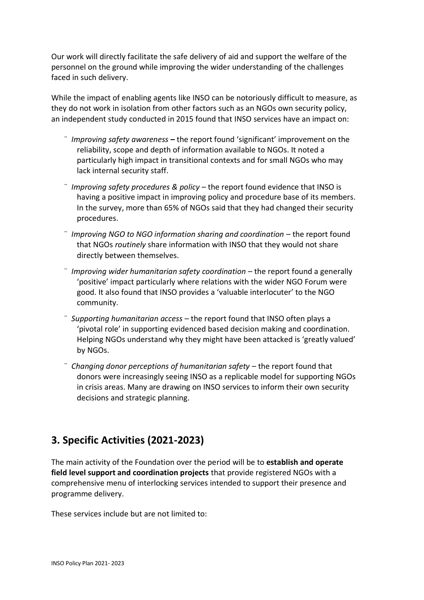Our work will directly facilitate the safe delivery of aid and support the welfare of the personnel on the ground while improving the wider understanding of the challenges faced in such delivery.

While the impact of enabling agents like INSO can be notoriously difficult to measure, as they do not work in isolation from other factors such as an NGOs own security policy, an independent study conducted in 2015 found that INSO services have an impact on:

- ¨ *Improving safety awareness* **–** the report found 'significant' improvement on the reliability, scope and depth of information available to NGOs. It noted a particularly high impact in transitional contexts and for small NGOs who may lack internal security staff.
- ¨ *Improving safety procedures & policy* the report found evidence that INSO is having a positive impact in improving policy and procedure base of its members. In the survey, more than 65% of NGOs said that they had changed their security procedures.
- ¨ *Improving NGO to NGO information sharing and coordination* the report found that NGOs *routinely* share information with INSO that they would not share directly between themselves.
- ¨ *Improving wider humanitarian safety coordination* the report found a generally 'positive' impact particularly where relations with the wider NGO Forum were good. It also found that INSO provides a 'valuable interlocuter' to the NGO community.
- ¨ *Supporting humanitarian access* the report found that INSO often plays a 'pivotal role' in supporting evidenced based decision making and coordination. Helping NGOs understand why they might have been attacked is 'greatly valued' by NGOs.
- ¨ *Changing donor perceptions of humanitarian safety* the report found that donors were increasingly seeing INSO as a replicable model for supporting NGOs in crisis areas. Many are drawing on INSO services to inform their own security decisions and strategic planning.

# **3. Specific Activities (2021-2023)**

The main activity of the Foundation over the period will be to **establish and operate field level support and coordination projects** that provide registered NGOs with a comprehensive menu of interlocking services intended to support their presence and programme delivery.

These services include but are not limited to: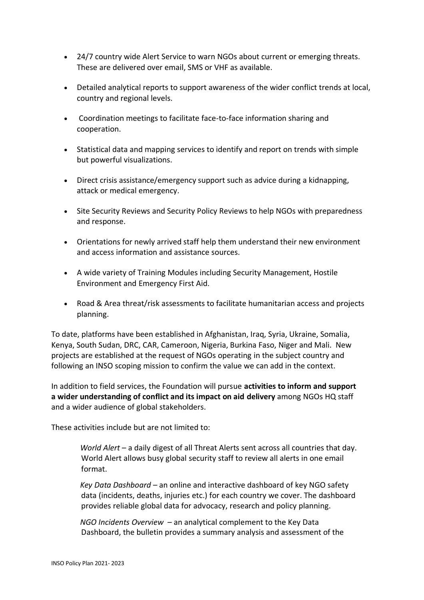- 24/7 country wide Alert Service to warn NGOs about current or emerging threats. These are delivered over email, SMS or VHF as available.
- Detailed analytical reports to support awareness of the wider conflict trends at local, country and regional levels.
- Coordination meetings to facilitate face-to-face information sharing and cooperation.
- Statistical data and mapping services to identify and report on trends with simple but powerful visualizations.
- Direct crisis assistance/emergency support such as advice during a kidnapping, attack or medical emergency.
- Site Security Reviews and Security Policy Reviews to help NGOs with preparedness and response.
- Orientations for newly arrived staff help them understand their new environment and access information and assistance sources.
- A wide variety of Training Modules including Security Management, Hostile Environment and Emergency First Aid.
- Road & Area threat/risk assessments to facilitate humanitarian access and projects planning.

To date, platforms have been established in Afghanistan, Iraq, Syria, Ukraine, Somalia, Kenya, South Sudan, DRC, CAR, Cameroon, Nigeria, Burkina Faso, Niger and Mali. New projects are established at the request of NGOs operating in the subject country and following an INSO scoping mission to confirm the value we can add in the context.

In addition to field services, the Foundation will pursue **activities to inform and support a wider understanding of conflict and its impact on aid delivery** among NGOs HQ staff and a wider audience of global stakeholders.

These activities include but are not limited to:

*World Alert* – a daily digest of all Threat Alerts sent across all countries that day. World Alert allows busy global security staff to review all alerts in one email format.

*Key Data Dashboard* – an online and interactive dashboard of key NGO safety data (incidents, deaths, injuries etc.) for each country we cover. The dashboard provides reliable global data for advocacy, research and policy planning.

*NGO Incidents Overview* – an analytical complement to the Key Data Dashboard, the bulletin provides a summary analysis and assessment of the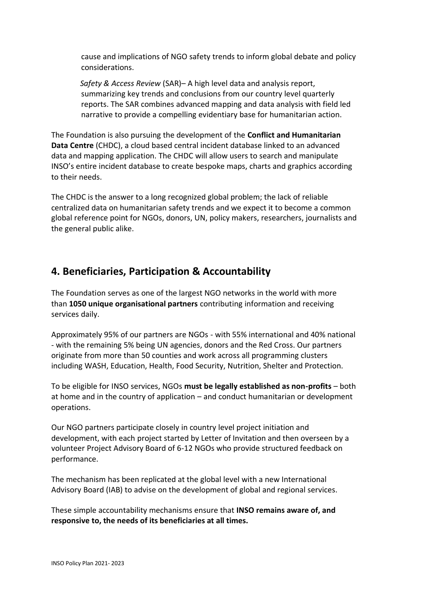cause and implications of NGO safety trends to inform global debate and policy considerations.

*Safety & Access Review* (SAR)– A high level data and analysis report, summarizing key trends and conclusions from our country level quarterly reports. The SAR combines advanced mapping and data analysis with field led narrative to provide a compelling evidentiary base for humanitarian action.

The Foundation is also pursuing the development of the **Conflict and Humanitarian Data Centre** (CHDC), a cloud based central incident database linked to an advanced data and mapping application. The CHDC will allow users to search and manipulate INSO's entire incident database to create bespoke maps, charts and graphics according to their needs.

The CHDC is the answer to a long recognized global problem; the lack of reliable centralized data on humanitarian safety trends and we expect it to become a common global reference point for NGOs, donors, UN, policy makers, researchers, journalists and the general public alike.

# **4. Beneficiaries, Participation & Accountability**

The Foundation serves as one of the largest NGO networks in the world with more than **1050 unique organisational partners** contributing information and receiving services daily.

Approximately 95% of our partners are NGOs - with 55% international and 40% national - with the remaining 5% being UN agencies, donors and the Red Cross. Our partners originate from more than 50 counties and work across all programming clusters including WASH, Education, Health, Food Security, Nutrition, Shelter and Protection.

To be eligible for INSO services, NGOs **must be legally established as non-profits** – both at home and in the country of application – and conduct humanitarian or development operations.

Our NGO partners participate closely in country level project initiation and development, with each project started by Letter of Invitation and then overseen by a volunteer Project Advisory Board of 6-12 NGOs who provide structured feedback on performance.

The mechanism has been replicated at the global level with a new International Advisory Board (IAB) to advise on the development of global and regional services.

These simple accountability mechanisms ensure that **INSO remains aware of, and responsive to, the needs of its beneficiaries at all times.**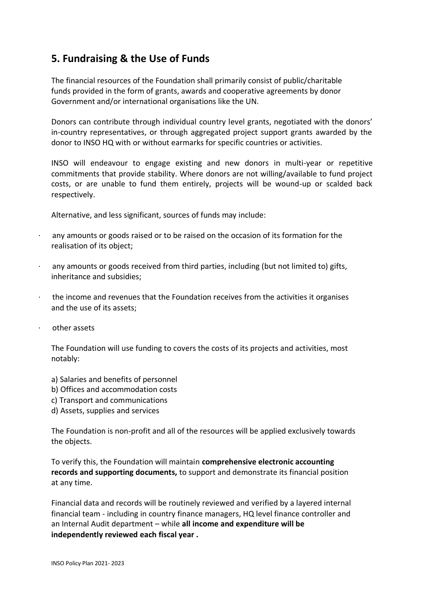### **5. Fundraising & the Use of Funds**

The financial resources of the Foundation shall primarily consist of public/charitable funds provided in the form of grants, awards and cooperative agreements by donor Government and/or international organisations like the UN.

Donors can contribute through individual country level grants, negotiated with the donors' in-country representatives, or through aggregated project support grants awarded by the donor to INSO HQ with or without earmarks for specific countries or activities.

INSO will endeavour to engage existing and new donors in multi-year or repetitive commitments that provide stability. Where donors are not willing/available to fund project costs, or are unable to fund them entirely, projects will be wound-up or scalded back respectively.

Alternative, and less significant, sources of funds may include:

- any amounts or goods raised or to be raised on the occasion of its formation for the realisation of its object;
- any amounts or goods received from third parties, including (but not limited to) gifts, inheritance and subsidies;
- · the income and revenues that the Foundation receives from the activities it organises and the use of its assets;
- other assets

The Foundation will use funding to covers the costs of its projects and activities, most notably:

- a) Salaries and benefits of personnel
- b) Offices and accommodation costs
- c) Transport and communications
- d) Assets, supplies and services

The Foundation is non-profit and all of the resources will be applied exclusively towards the objects.

To verify this, the Foundation will maintain **comprehensive electronic accounting records and supporting documents,** to support and demonstrate its financial position at any time.

Financial data and records will be routinely reviewed and verified by a layered internal financial team - including in country finance managers, HQ level finance controller and an Internal Audit department – while **all income and expenditure will be independently reviewed each fiscal year .**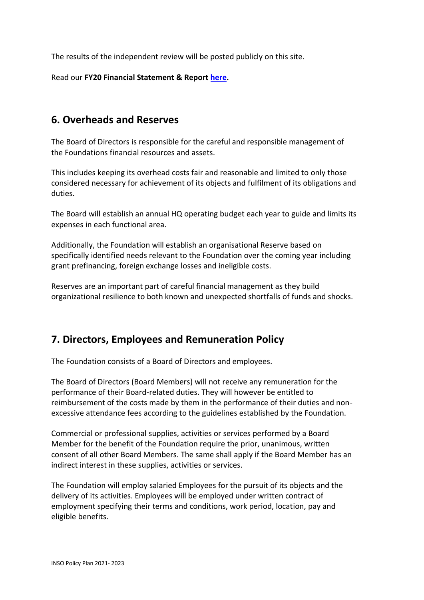The results of the independent review will be posted publicly on this site.

Read our **FY20 Financial Statement & Report [here.](https://insowebsite.blob.core.windows.net/uploads/2021/12/FY20_Financial_Statements_Report_signed.pdf)**

#### **6. Overheads and Reserves**

The Board of Directors is responsible for the careful and responsible management of the Foundations financial resources and assets.

This includes keeping its overhead costs fair and reasonable and limited to only those considered necessary for achievement of its objects and fulfilment of its obligations and duties.

The Board will establish an annual HQ operating budget each year to guide and limits its expenses in each functional area.

Additionally, the Foundation will establish an organisational Reserve based on specifically identified needs relevant to the Foundation over the coming year including grant prefinancing, foreign exchange losses and ineligible costs.

Reserves are an important part of careful financial management as they build organizational resilience to both known and unexpected shortfalls of funds and shocks.

#### **7. Directors, Employees and Remuneration Policy**

The Foundation consists of a Board of Directors and employees.

The Board of Directors (Board Members) will not receive any remuneration for the performance of their Board-related duties. They will however be entitled to reimbursement of the costs made by them in the performance of their duties and nonexcessive attendance fees according to the guidelines established by the Foundation.

Commercial or professional supplies, activities or services performed by a Board Member for the benefit of the Foundation require the prior, unanimous, written consent of all other Board Members. The same shall apply if the Board Member has an indirect interest in these supplies, activities or services.

The Foundation will employ salaried Employees for the pursuit of its objects and the delivery of its activities. Employees will be employed under written contract of employment specifying their terms and conditions, work period, location, pay and eligible benefits.